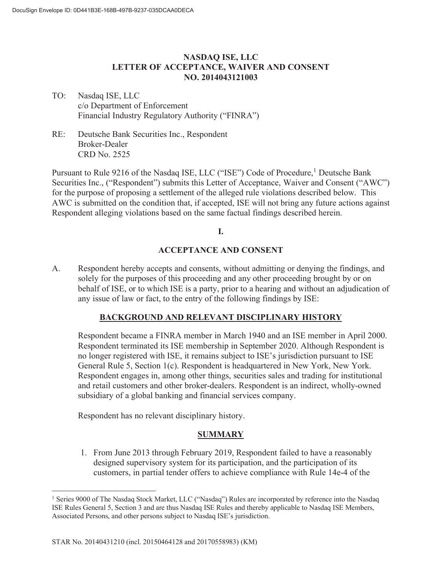## **NASDAQ ISE, LLC LETTER OF ACCEPTANCE, WAIVER AND CONSENT NO. 2014043121003**

- TO: Nasdaq ISE, LLC c/o Department of Enforcement Financial Industry Regulatory Authority ("FINRA")
- RE: Deutsche Bank Securities Inc., Respondent Broker-Dealer CRD No. 2525

Pursuant to Rule 9216 of the Nasdaq ISE, LLC ("ISE") Code of Procedure,<sup>1</sup> Deutsche Bank Securities Inc., ("Respondent") submits this Letter of Acceptance, Waiver and Consent ("AWC") for the purpose of proposing a settlement of the alleged rule violations described below. This AWC is submitted on the condition that, if accepted, ISE will not bring any future actions against Respondent alleging violations based on the same factual findings described herein.

**I.** 

# **ACCEPTANCE AND CONSENT**

A. Respondent hereby accepts and consents, without admitting or denying the findings, and solely for the purposes of this proceeding and any other proceeding brought by or on behalf of ISE, or to which ISE is a party, prior to a hearing and without an adjudication of any issue of law or fact, to the entry of the following findings by ISE:

#### **BACKGROUND AND RELEVANT DISCIPLINARY HISTORY**

Respondent became a FINRA member in March 1940 and an ISE member in April 2000. Respondent terminated its ISE membership in September 2020. Although Respondent is no longer registered with ISE, it remains subject to ISE's jurisdiction pursuant to ISE General Rule 5, Section 1(c). Respondent is headquartered in New York, New York. Respondent engages in, among other things, securities sales and trading for institutional and retail customers and other broker-dealers. Respondent is an indirect, wholly-owned subsidiary of a global banking and financial services company.

Respondent has no relevant disciplinary history.

## **SUMMARY**

1. From June 2013 through February 2019, Respondent failed to have a reasonably designed supervisory system for its participation, and the participation of its customers, in partial tender offers to achieve compliance with Rule 14e-4 of the

<sup>&</sup>lt;sup>1</sup> Series 9000 of The Nasdaq Stock Market, LLC ("Nasdaq") Rules are incorporated by reference into the Nasdaq ISE Rules General 5, Section 3 and are thus Nasdaq ISE Rules and thereby applicable to Nasdaq ISE Members, Associated Persons, and other persons subject to Nasdaq ISE's jurisdiction.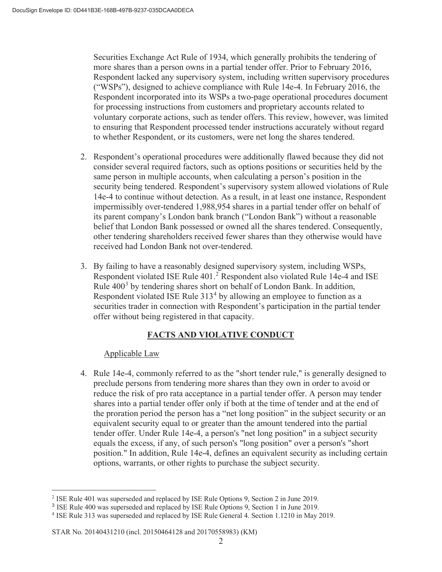Securities Exchange Act Rule of 1934, which generally prohibits the tendering of more shares than a person owns in a partial tender offer. Prior to February 2016, Respondent lacked any supervisory system, including written supervisory procedures ("WSPs"), designed to achieve compliance with Rule 14e-4. In February 2016, the Respondent incorporated into its WSPs a two-page operational procedures document for processing instructions from customers and proprietary accounts related to voluntary corporate actions, such as tender offers. This review, however, was limited to ensuring that Respondent processed tender instructions accurately without regard to whether Respondent, or its customers, were net long the shares tendered.

- 2. Respondent's operational procedures were additionally flawed because they did not consider several required factors, such as options positions or securities held by the same person in multiple accounts, when calculating a person's position in the security being tendered. Respondent's supervisory system allowed violations of Rule 14e-4 to continue without detection. As a result, in at least one instance, Respondent impermissibly over-tendered 1,988,954 shares in a partial tender offer on behalf of its parent company's London bank branch ("London Bank") without a reasonable belief that London Bank possessed or owned all the shares tendered. Consequently, other tendering shareholders received fewer shares than they otherwise would have received had London Bank not over-tendered.
- 3. By failing to have a reasonably designed supervisory system, including WSPs, Respondent violated ISE Rule 401.<sup>2</sup> Respondent also violated Rule 14e-4 and ISE Rule 400<sup>3</sup> by tendering shares short on behalf of London Bank. In addition, Respondent violated ISE Rule  $313<sup>4</sup>$  by allowing an employee to function as a securities trader in connection with Respondent's participation in the partial tender offer without being registered in that capacity.

## **FACTS AND VIOLATIVE CONDUCT**

#### Applicable Law

4. Rule 14e-4, commonly referred to as the "short tender rule," is generally designed to preclude persons from tendering more shares than they own in order to avoid or reduce the risk of pro rata acceptance in a partial tender offer. A person may tender shares into a partial tender offer only if both at the time of tender and at the end of the proration period the person has a "net long position" in the subject security or an equivalent security equal to or greater than the amount tendered into the partial tender offer. Under Rule 14e-4, a person's "net long position" in a subject security equals the excess, if any, of such person's "long position" over a person's "short position." In addition, Rule 14e-4, defines an equivalent security as including certain options, warrants, or other rights to purchase the subject security.

<sup>&</sup>lt;sup>2</sup> ISE Rule 401 was superseded and replaced by ISE Rule Options 9, Section 2 in June 2019.

<sup>3</sup> ISE Rule 400 was superseded and replaced by ISE Rule Options 9, Section 1 in June 2019.

<sup>4</sup> ISE Rule 313 was superseded and replaced by ISE Rule General 4. Section 1.1210 in May 2019.

STAR No. 20140431210 (incl. 20150464128 and 20170558983) (KM)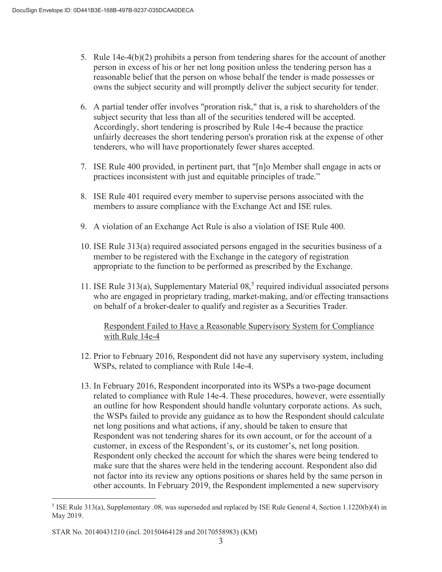- 5. Rule 14e-4(b)(2) prohibits a person from tendering shares for the account of another person in excess of his or her net long position unless the tendering person has a reasonable belief that the person on whose behalf the tender is made possesses or owns the subject security and will promptly deliver the subject security for tender.
- 6. A partial tender offer involves "proration risk," that is, a risk to shareholders of the subject security that less than all of the securities tendered will be accepted. Accordingly, short tendering is proscribed by Rule 14e-4 because the practice unfairly decreases the short tendering person's proration risk at the expense of other tenderers, who will have proportionately fewer shares accepted.
- 7. ISE Rule 400 provided, in pertinent part, that "[n]o Member shall engage in acts or practices inconsistent with just and equitable principles of trade."
- 8. ISE Rule 401 required every member to supervise persons associated with the members to assure compliance with the Exchange Act and ISE rules.
- 9. A violation of an Exchange Act Rule is also a violation of ISE Rule 400.
- 10. ISE Rule 313(a) required associated persons engaged in the securities business of a member to be registered with the Exchange in the category of registration appropriate to the function to be performed as prescribed by the Exchange.
- 11. ISE Rule 313(a), Supplementary Material  $08<sup>5</sup>$  required individual associated persons who are engaged in proprietary trading, market-making, and/or effecting transactions on behalf of a broker-dealer to qualify and register as a Securities Trader.

## Respondent Failed to Have a Reasonable Supervisory System for Compliance with Rule 14e-4

- 12. Prior to February 2016, Respondent did not have any supervisory system, including WSPs, related to compliance with Rule 14e-4.
- 13. In February 2016, Respondent incorporated into its WSPs a two-page document related to compliance with Rule 14e-4. These procedures, however, were essentially an outline for how Respondent should handle voluntary corporate actions. As such, the WSPs failed to provide any guidance as to how the Respondent should calculate net long positions and what actions, if any, should be taken to ensure that Respondent was not tendering shares for its own account, or for the account of a customer, in excess of the Respondent's, or its customer's, net long position. Respondent only checked the account for which the shares were being tendered to make sure that the shares were held in the tendering account. Respondent also did not factor into its review any options positions or shares held by the same person in other accounts. In February 2019, the Respondent implemented a new supervisory

<sup>&</sup>lt;sup>5</sup> ISE Rule 313(a), Supplementary .08, was superseded and replaced by ISE Rule General 4, Section 1.1220(b)(4) in May 2019.

STAR No. 20140431210 (incl. 20150464128 and 20170558983) (KM)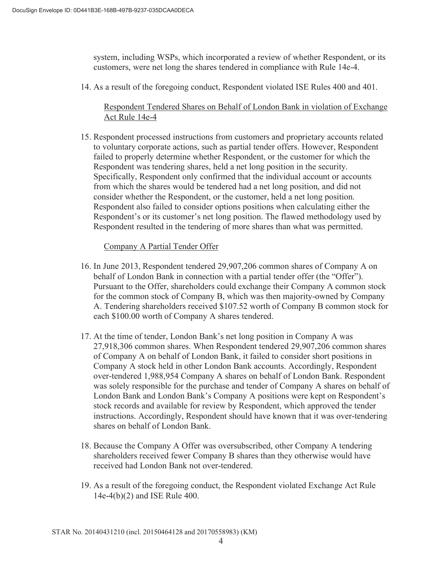system, including WSPs, which incorporated a review of whether Respondent, or its customers, were net long the shares tendered in compliance with Rule 14e-4.

14. As a result of the foregoing conduct, Respondent violated ISE Rules 400 and 401.

### Respondent Tendered Shares on Behalf of London Bank in violation of Exchange Act Rule 14e-4

15. Respondent processed instructions from customers and proprietary accounts related to voluntary corporate actions, such as partial tender offers. However, Respondent failed to properly determine whether Respondent, or the customer for which the Respondent was tendering shares, held a net long position in the security. Specifically, Respondent only confirmed that the individual account or accounts from which the shares would be tendered had a net long position, and did not consider whether the Respondent, or the customer, held a net long position. Respondent also failed to consider options positions when calculating either the Respondent's or its customer's net long position. The flawed methodology used by Respondent resulted in the tendering of more shares than what was permitted.

### Company A Partial Tender Offer

- 16. In June 2013, Respondent tendered 29,907,206 common shares of Company A on behalf of London Bank in connection with a partial tender offer (the "Offer"). Pursuant to the Offer, shareholders could exchange their Company A common stock for the common stock of Company B, which was then majority-owned by Company A. Tendering shareholders received \$107.52 worth of Company B common stock for each \$100.00 worth of Company A shares tendered.
- 17. At the time of tender, London Bank's net long position in Company A was 27,918,306 common shares. When Respondent tendered 29,907,206 common shares of Company A on behalf of London Bank, it failed to consider short positions in Company A stock held in other London Bank accounts. Accordingly, Respondent over-tendered 1,988,954 Company A shares on behalf of London Bank. Respondent was solely responsible for the purchase and tender of Company A shares on behalf of London Bank and London Bank's Company A positions were kept on Respondent's stock records and available for review by Respondent, which approved the tender instructions. Accordingly, Respondent should have known that it was over-tendering shares on behalf of London Bank.
- 18. Because the Company A Offer was oversubscribed, other Company A tendering shareholders received fewer Company B shares than they otherwise would have received had London Bank not over-tendered.
- 19. As a result of the foregoing conduct, the Respondent violated Exchange Act Rule 14e-4(b)(2) and ISE Rule 400.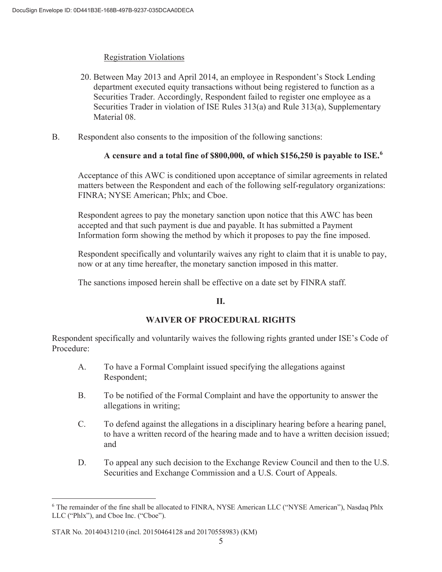### Registration Violations

- 20. Between May 2013 and April 2014, an employee in Respondent's Stock Lending department executed equity transactions without being registered to function as a Securities Trader. Accordingly, Respondent failed to register one employee as a Securities Trader in violation of ISE Rules 313(a) and Rule 313(a), Supplementary Material 08.
- B. Respondent also consents to the imposition of the following sanctions:

## **A censure and a total fine of \$800,000, of which \$156,250 is payable to ISE.<sup>6</sup>**

Acceptance of this AWC is conditioned upon acceptance of similar agreements in related matters between the Respondent and each of the following self-regulatory organizations: FINRA; NYSE American; Phlx; and Cboe.

Respondent agrees to pay the monetary sanction upon notice that this AWC has been accepted and that such payment is due and payable. It has submitted a Payment Information form showing the method by which it proposes to pay the fine imposed.

Respondent specifically and voluntarily waives any right to claim that it is unable to pay, now or at any time hereafter, the monetary sanction imposed in this matter.

The sanctions imposed herein shall be effective on a date set by FINRA staff.

## **II.**

## **WAIVER OF PROCEDURAL RIGHTS**

Respondent specifically and voluntarily waives the following rights granted under ISE's Code of Procedure:

- A. To have a Formal Complaint issued specifying the allegations against Respondent;
- B. To be notified of the Formal Complaint and have the opportunity to answer the allegations in writing;
- C. To defend against the allegations in a disciplinary hearing before a hearing panel, to have a written record of the hearing made and to have a written decision issued; and
- D. To appeal any such decision to the Exchange Review Council and then to the U.S. Securities and Exchange Commission and a U.S. Court of Appeals.

<sup>&</sup>lt;sup>6</sup> The remainder of the fine shall be allocated to FINRA, NYSE American LLC ("NYSE American"), Nasdaq Phlx LLC ("Phlx"), and Cboe Inc. ("Cboe").

STAR No. 20140431210 (incl. 20150464128 and 20170558983) (KM)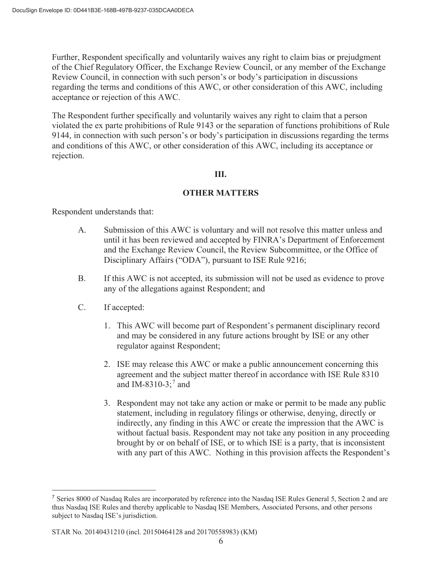Further, Respondent specifically and voluntarily waives any right to claim bias or prejudgment of the Chief Regulatory Officer, the Exchange Review Council, or any member of the Exchange Review Council, in connection with such person's or body's participation in discussions regarding the terms and conditions of this AWC, or other consideration of this AWC, including acceptance or rejection of this AWC.

The Respondent further specifically and voluntarily waives any right to claim that a person violated the ex parte prohibitions of Rule 9143 or the separation of functions prohibitions of Rule 9144, in connection with such person's or body's participation in discussions regarding the terms and conditions of this AWC, or other consideration of this AWC, including its acceptance or rejection.

### **III.**

## **OTHER MATTERS**

Respondent understands that:

- A. Submission of this AWC is voluntary and will not resolve this matter unless and until it has been reviewed and accepted by FINRA's Department of Enforcement and the Exchange Review Council, the Review Subcommittee, or the Office of Disciplinary Affairs ("ODA"), pursuant to ISE Rule 9216;
- B. If this AWC is not accepted, its submission will not be used as evidence to prove any of the allegations against Respondent; and
- C. If accepted:
	- 1. This AWC will become part of Respondent's permanent disciplinary record and may be considered in any future actions brought by ISE or any other regulator against Respondent;
	- 2. ISE may release this AWC or make a public announcement concerning this agreement and the subject matter thereof in accordance with ISE Rule 8310 and IM-8310-3; $^7$  and
	- 3. Respondent may not take any action or make or permit to be made any public statement, including in regulatory filings or otherwise, denying, directly or indirectly, any finding in this AWC or create the impression that the AWC is without factual basis. Respondent may not take any position in any proceeding brought by or on behalf of ISE, or to which ISE is a party, that is inconsistent with any part of this AWC. Nothing in this provision affects the Respondent's

<sup>7</sup> Series 8000 of Nasdaq Rules are incorporated by reference into the Nasdaq ISE Rules General 5, Section 2 and are thus Nasdaq ISE Rules and thereby applicable to Nasdaq ISE Members, Associated Persons, and other persons subject to Nasdaq ISE's jurisdiction.

STAR No. 20140431210 (incl. 20150464128 and 20170558983) (KM)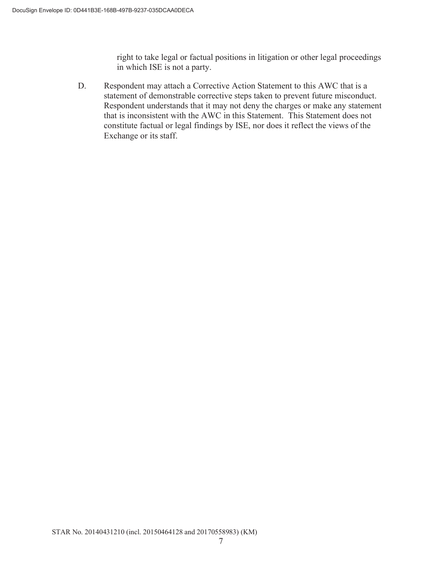right to take legal or factual positions in litigation or other legal proceedings in which ISE is not a party.

D. Respondent may attach a Corrective Action Statement to this AWC that is a statement of demonstrable corrective steps taken to prevent future misconduct. Respondent understands that it may not deny the charges or make any statement that is inconsistent with the AWC in this Statement. This Statement does not constitute factual or legal findings by ISE, nor does it reflect the views of the Exchange or its staff.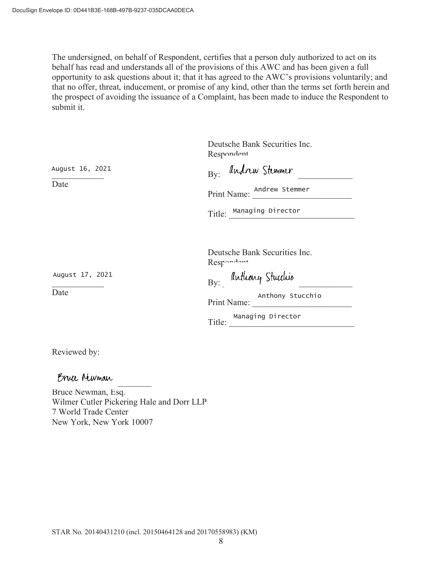The undersigned, on behalf of Respondent, certifies that a person duly authorized to act on its behalf has read and understands all of the provisions of this AWC and has been given a full opportunity to ask questions about it; that it has agreed to the AWC's provisions voluntarily; and that no offer, threat, inducement, or promise of any kind, other than the terms set forth herein and the prospect of avoiding the issuance of a Complaint, has been made to induce the Respondent to submit it.

|                 | Deutsche Bank Securities Inc.<br>Respondent |
|-----------------|---------------------------------------------|
| August 16, 2021 | By: andrew Stemmer                          |
| Date            | Print Name: <u>Andrew Stemmer</u>           |
|                 | Title: Managing Director                    |
|                 |                                             |
|                 | Deutsche Bank Securities Inc.<br>Respondent |
| August 17, 2021 | By: anthony Studio                          |
| Date            | Anthony Stucchio<br>Print Name:             |
|                 | Managing Director<br>Title:                 |
|                 |                                             |

Reviewed by:

Bruce Newman

Bruce Newman, Esq. Wilmer Cutler Pickering Hale and Dorr LLP 7 World Trade Center New York, New York 10007